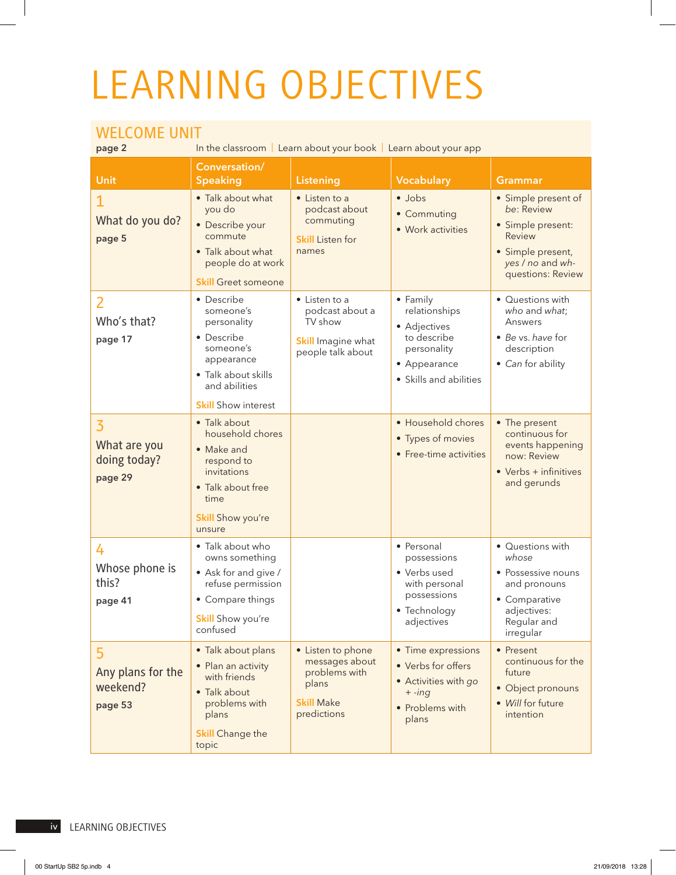## LEARNING OBJECTIVES

## WELCOME UNIT

**Page 2 In the classroom** | Learn about your book | Learn about your app

| <b>Unit</b>                                               | Conversation/<br><b>Speaking</b>                                                                                                                      | Listening                                                                                         | Vocabulary                                                                                                        | <b>Grammar</b>                                                                                                                 |
|-----------------------------------------------------------|-------------------------------------------------------------------------------------------------------------------------------------------------------|---------------------------------------------------------------------------------------------------|-------------------------------------------------------------------------------------------------------------------|--------------------------------------------------------------------------------------------------------------------------------|
| What do you do?<br>page 5                                 | • Talk about what<br>you do<br>• Describe your<br>commute<br>• Talk about what<br>people do at work<br><b>Skill Greet someone</b>                     | • Listen to a<br>podcast about<br>commuting<br><b>Skill Listen for</b><br>names                   | · Jobs<br>• Commuting<br>· Work activities                                                                        | • Simple present of<br>be: Review<br>• Simple present:<br>Review<br>· Simple present,<br>yes / no and wh-<br>questions: Review |
| Who's that?<br>page 17                                    | • Describe<br>someone's<br>personality<br>• Describe<br>someone's<br>appearance<br>• Talk about skills<br>and abilities<br><b>Skill</b> Show interest | • Listen to a<br>podcast about a<br>TV show<br><b>Skill</b> Imagine what<br>people talk about     | • Family<br>relationships<br>• Adjectives<br>to describe<br>personality<br>• Appearance<br>• Skills and abilities | • Questions with<br>who and what;<br>Answers<br>• Be vs. have for<br>description<br>• Can for ability                          |
| $\overline{3}$<br>What are you<br>doing today?<br>page 29 | • Talk about<br>household chores<br>• Make and<br>respond to<br>invitations<br>• Talk about free<br>time<br>Skill Show you're<br>unsure               |                                                                                                   | • Household chores<br>• Types of movies<br>• Free-time activities                                                 | • The present<br>continuous for<br>events happening<br>now: Review<br>$\bullet$ Verbs + infinitives<br>and gerunds             |
| 4<br>Whose phone is<br>this?<br>page 41                   | • Talk about who<br>owns something<br>• Ask for and give /<br>refuse permission<br>• Compare things<br><b>Skill</b> Show you're<br>contused           |                                                                                                   | • Personal<br>possessions<br>• Verbs used<br>with personal<br>possessions<br>• Technology<br>adjectives           | • Questions with<br>whose<br>• Possessive nouns<br>and pronouns<br>• Comparative<br>adjectives:<br>Regular and<br>irregular    |
| 5<br>Any plans for the<br>weekend?<br>page 53             | · Talk about plans<br>• Plan an activity<br>with friends<br>• Talk about<br>problems with<br>plans<br><b>Skill Change the</b><br>topic                | • Listen to phone<br>messages about<br>problems with<br>plans<br><b>Skill Make</b><br>predictions | • Time expressions<br>• Verbs for offers<br>• Activities with go<br>$+ -ing$<br>• Problems with<br>plans          | • Present<br>continuous for the<br>future<br>• Object pronouns<br>• Will for future<br>intention                               |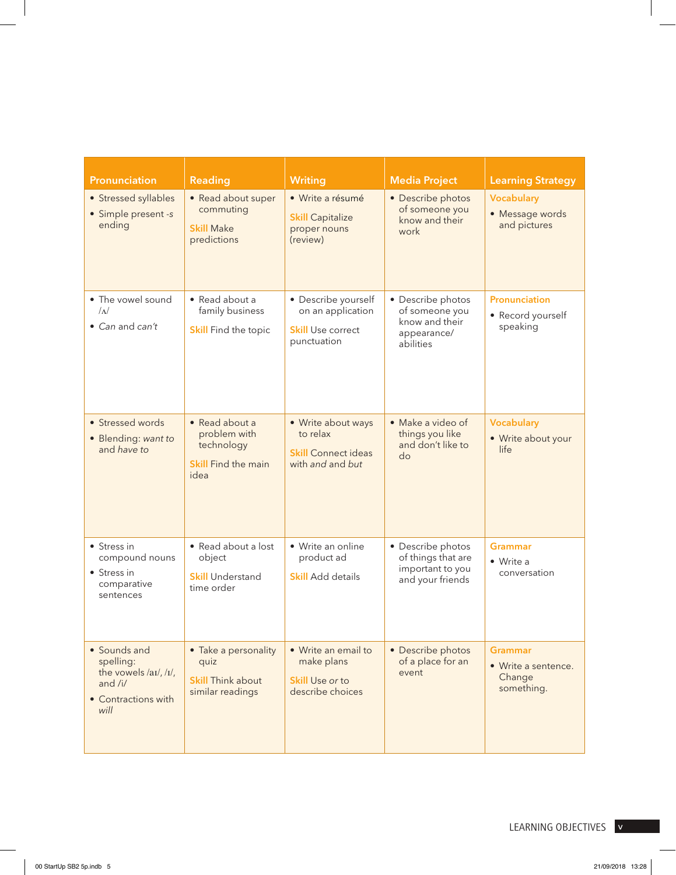| Pronunciation                                                                                                  | Reading                                                                            | <b>Writing</b>                                                                      | <b>Media Project</b>                                                              | <b>Learning Strategy</b>                                      |
|----------------------------------------------------------------------------------------------------------------|------------------------------------------------------------------------------------|-------------------------------------------------------------------------------------|-----------------------------------------------------------------------------------|---------------------------------------------------------------|
| • Stressed syllables<br>• Simple present -s<br>ending                                                          | • Read about super<br>commuting<br><b>Skill Make</b><br>predictions                | · Write a résumé<br><b>Skill Capitalize</b><br>proper nouns<br>(review)             | • Describe photos<br>of someone you<br>know and their<br>work                     | <b>Vocabulary</b><br>• Message words<br>and pictures          |
| • The vowel sound<br>$\Lambda$<br>• Can and can't                                                              | • Read about a<br>family business<br><b>Skill Find the topic</b>                   | • Describe yourself<br>on an application<br><b>Skill Use correct</b><br>punctuation | • Describe photos<br>of someone you<br>know and their<br>appearance/<br>abilities | Pronunciation<br>• Record yourself<br>speaking                |
| • Stressed words<br>• Blending: want to<br>and have to                                                         | • Read about a<br>problem with<br>technology<br><b>Skill</b> Find the main<br>idea | • Write about ways<br>to relax<br><b>Skill Connect ideas</b><br>with and and but    | • Make a video of<br>things you like<br>and don't like to<br>do                   | Vocabulary<br>• Write about your<br>life                      |
| • Stress in<br>compound nouns<br>• Stress in<br>comparative<br>sentences                                       | • Read about a lost<br>object<br><b>Skill Understand</b><br>time order             | • Write an online<br>product ad<br><b>Skill</b> Add details                         | • Describe photos<br>of things that are<br>important to you<br>and your friends   | <b>Grammar</b><br>• Write a<br>conversation                   |
| • Sounds and<br>spelling:<br>the vowels $\langle$ ai/, $\langle$ i/,<br>and /i/<br>• Contractions with<br>will | • Take a personality<br>quiz<br><b>Skill Think about</b><br>similar readings       | • Write an email to<br>make plans<br><b>Skill Use or to</b><br>describe choices     | • Describe photos<br>of a place for an<br>event                                   | <b>Grammar</b><br>• Write a sentence.<br>Change<br>something. |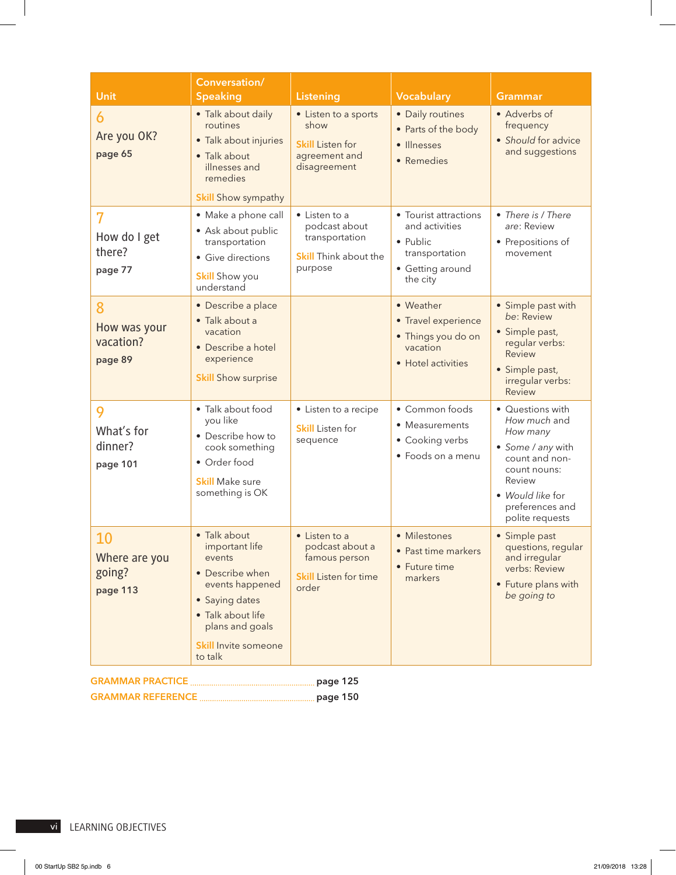| <b>Unit</b>                               | Conversation/<br><b>Speaking</b>                                                                                                                                                   | <b>Listening</b>                                                                            | <b>Vocabulary</b>                                                                                     | <b>Grammar</b>                                                                                                                                                          |
|-------------------------------------------|------------------------------------------------------------------------------------------------------------------------------------------------------------------------------------|---------------------------------------------------------------------------------------------|-------------------------------------------------------------------------------------------------------|-------------------------------------------------------------------------------------------------------------------------------------------------------------------------|
| 6<br>Are you OK?<br>page 65               | • Talk about daily<br>routines<br>• Talk about injuries<br>• Talk about<br>illnesses and<br>remedies<br><b>Skill Show sympathy</b>                                                 | • Listen to a sports<br>show<br><b>Skill Listen for</b><br>agreement and<br>disagreement    | · Daily routines<br>• Parts of the body<br>· Illnesses<br>· Remedies                                  | • Adverbs of<br>frequency<br>• Should for advice<br>and suggestions                                                                                                     |
| 7<br>How do I get<br>there?<br>page 77    | · Make a phone call<br>• Ask about public<br>transportation<br>• Give directions<br><b>Skill</b> Show you<br>understand                                                            | • Listen to a<br>podcast about<br>transportation<br><b>Skill Think about the</b><br>purpose | • Tourist attractions<br>and activities<br>• Public<br>transportation<br>• Getting around<br>the city | • There is / There<br>are: Review<br>• Prepositions of<br>movement                                                                                                      |
| 8<br>How was your<br>vacation?<br>page 89 | • Describe a place<br>· Talk about a<br>vacation<br>• Describe a hotel<br>experience<br><b>Skill Show surprise</b>                                                                 |                                                                                             | • Weather<br>• Travel experience<br>• Things you do on<br>vacation<br>• Hotel activities              | • Simple past with<br>be: Review<br>· Simple past,<br>regular verbs:<br>Review<br>• Simple past,<br>irregular verbs:<br>Review                                          |
| 9<br>What's for<br>dinner?<br>page 101    | • Talk about food<br>you like<br>• Describe how to<br>cook something<br>• Order food<br><b>Skill</b> Make sure<br>something is OK                                                  | • Listen to a recipe<br><b>Skill</b> Listen for<br>sequence                                 | • Common foods<br>• Measurements<br>• Cooking verbs<br>• Foods on a menu                              | • Questions with<br>How much and<br>How many<br>• Some / any with<br>count and non-<br>count nouns:<br>Review<br>• Would like for<br>preferences and<br>polite requests |
| 10<br>Where are you<br>going?<br>page 113 | • Talk about<br>important life<br>events<br>• Describe when<br>events happened<br>• Saying dates<br>· Talk about life<br>plans and goals<br><b>Skill Invite someone</b><br>to talk | • Listen to a<br>podcast about a<br>famous person<br><b>Skill Listen for time</b><br>order  | • Milestones<br>• Past time markers<br>• Future time<br>markers                                       | • Simple past<br>questions, regular<br>and irregular<br>verbs: Review<br>• Future plans with<br>be going to                                                             |